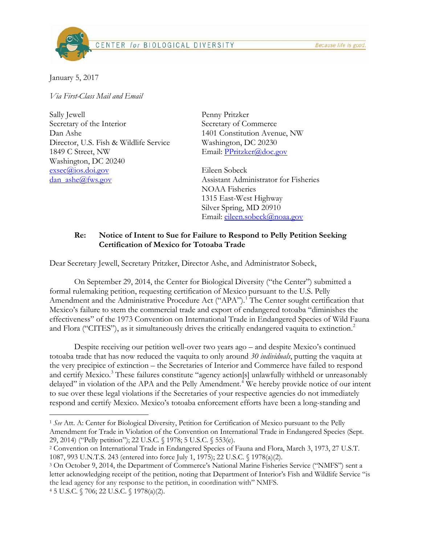CENTER for BIOLOGICAL DIVERSITY



January 5, 2017

*Via First-Class Mail and Email*

Sally Jewell Secretary of the Interior Dan Ashe Director, U.S. Fish & Wildlife Service 1849 C Street, NW Washington, DC 20240 [exsec@ios.doi.gov](mailto:exsec@ios.doi.gov) dan  $\text{ashe@fws.gov}$ 

Penny Pritzker Secretary of Commerce 1401 Constitution Avenue, NW Washington, DC 20230 Email: [PPritzker@doc.gov](mailto:PPritzker@doc.gov)

Eileen Sobeck Assistant Administrator for Fisheries NOAA Fisheries 1315 East-West Highway Silver Spring, MD 20910 Email: [eileen.sobeck@noaa.gov](mailto:eileen.sobeck@noaa.gov)

## **Re: Notice of Intent to Sue for Failure to Respond to Pelly Petition Seeking Certification of Mexico for Totoaba Trade**

Dear Secretary Jewell, Secretary Pritzker, Director Ashe, and Administrator Sobeck,

On September 29, 2014, the Center for Biological Diversity ("the Center") submitted a formal rulemaking petition, requesting certification of Mexico pursuant to the U.S. Pelly Amendment and the Administrative Procedure Act ("APA").<sup>[1](#page-0-0)</sup> The Center sought certification that Mexico's failure to stem the commercial trade and export of endangered totoaba "diminishes the effectiveness" of the 1973 Convention on International Trade in Endangered Species of Wild Fauna and Flora ("CITES"), as it simultaneously drives the critically endangered vaquita to extinction.<sup>[2](#page-0-1)</sup>

Despite receiving our petition well-over two years ago – and despite Mexico's continued totoaba trade that has now reduced the vaquita to only around *30 individuals*, putting the vaquita at the very precipice of extinction – the Secretaries of Interior and Commerce have failed to respond and certify Mexico. [3](#page-0-2) These failures constitute "agency action[s] unlawfully withheld or unreasonably delayed" in violation of the APA and the Pelly Amendment.<sup>[4](#page-0-3)</sup> We hereby provide notice of our intent to sue over these legal violations if the Secretaries of your respective agencies do not immediately respond and certify Mexico. Mexico's totoaba enforcement efforts have been a long-standing and

<span id="page-0-0"></span><sup>1</sup> *See* Att. A: Center for Biological Diversity, Petition for Certification of Mexico pursuant to the Pelly Amendment for Trade in Violation of the Convention on International Trade in Endangered Species (Sept. 29, 2014) ("Pelly petition"); 22 U.S.C. § 1978; 5 U.S.C. § 553(e).

<span id="page-0-1"></span><sup>2</sup> Convention on International Trade in Endangered Species of Fauna and Flora, March 3, 1973, 27 U.S.T. 1087, 993 U.N.T.S. 243 (entered into force July 1, 1975); 22 U.S.C. § 1978(a)(2).

<span id="page-0-2"></span><sup>3</sup> On October 9, 2014, the Department of Commerce's National Marine Fisheries Service ("NMFS") sent a letter acknowledging receipt of the petition, noting that Department of Interior's Fish and Wildlife Service "is the lead agency for any response to the petition, in coordination with" NMFS.

<span id="page-0-3"></span><sup>4</sup> 5 U.S.C. § 706; 22 U.S.C. § 1978(a)(2).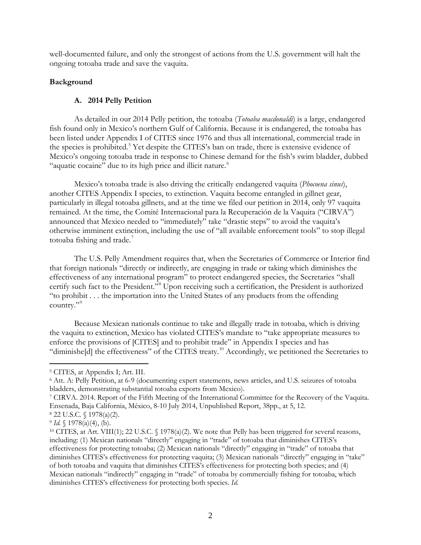well-documented failure, and only the strongest of actions from the U.S. government will halt the ongoing totoaba trade and save the vaquita.

### **Background**

# **A. 2014 Pelly Petition**

As detailed in our 2014 Pelly petition, the totoaba (*Totoaba macdonaldi*) is a large, endangered fish found only in Mexico's northern Gulf of California. Because it is endangered, the totoaba has been listed under Appendix I of CITES since 1976 and thus all international, commercial trade in the species is prohibited.<sup>[5](#page-1-0)</sup> Yet despite the CITES's ban on trade, there is extensive evidence of Mexico's ongoing totoaba trade in response to Chinese demand for the fish's swim bladder, dubbed "aquatic cocaine" due to its high price and illicit nature.<sup>[6](#page-1-1)</sup>

Mexico's totoaba trade is also driving the critically endangered vaquita (*Phocoena sinus*), another CITES Appendix I species, to extinction. Vaquita become entangled in gillnet gear, particularly in illegal totoaba gillnets, and at the time we filed our petition in 2014, only 97 vaquita remained. At the time, the Comité Internacional para la Recuperación de la Vaquita ("CIRVA") announced that Mexico needed to "immediately" take "drastic steps" to avoid the vaquita's otherwise imminent extinction, including the use of "all available enforcement tools" to stop illegal totoaba fishing and trade.<sup>[7](#page-1-2)</sup>

The U.S. Pelly Amendment requires that, when the Secretaries of Commerce or Interior find that foreign nationals "directly or indirectly, are engaging in trade or taking which diminishes the effectiveness of any international program" to protect endangered species, the Secretaries "shall certify such fact to the President."[8](#page-1-3) Upon receiving such a certification, the President is authorized "to prohibit . . . the importation into the United States of any products from the offending country."<sup>[9](#page-1-4)</sup>

Because Mexican nationals continue to take and illegally trade in totoaba, which is driving the vaquita to extinction, Mexico has violated CITES's mandate to "take appropriate measures to enforce the provisions of [CITES] and to prohibit trade" in Appendix I species and has "diminishe[d] the effectiveness" of the CITES treaty.<sup>[10](#page-1-5)</sup> Accordingly, we petitioned the Secretaries to

<span id="page-1-0"></span><sup>5</sup> CITES, at Appendix I; Art. III.

<span id="page-1-1"></span><sup>6</sup> Att. A: Pelly Petition, at 6-9 (documenting expert statements, news articles, and U.S. seizures of totoaba bladders, demonstrating substantial totoaba exports from Mexico).

<span id="page-1-2"></span><sup>7</sup> CIRVA. 2014. Report of the Fifth Meeting of the International Committee for the Recovery of the Vaquita. Ensenada, Baja California, México, 8-10 July 2014, Unpublished Report, 38pp., at 5, 12. 8 22 U.S.C. § 1978(a)(2).

<span id="page-1-3"></span>

<span id="page-1-4"></span><sup>9</sup> *Id.* § 1978(a)(4), (b).

<span id="page-1-5"></span><sup>10</sup> CITES, at Art. VIII(1); 22 U.S.C. § 1978(a)(2). We note that Pelly has been triggered for several reasons, including: (1) Mexican nationals "directly" engaging in "trade" of totoaba that diminishes CITES's effectiveness for protecting totoaba; (2) Mexican nationals "directly" engaging in "trade" of totoaba that diminishes CITES's effectiveness for protecting vaquita; (3) Mexican nationals "directly" engaging in "take" of both totoaba and vaquita that diminishes CITES's effectiveness for protecting both species; and (4) Mexican nationals "indirectly" engaging in "trade" of totoaba by commercially fishing for totoaba, which diminishes CITES's effectiveness for protecting both species. *Id.*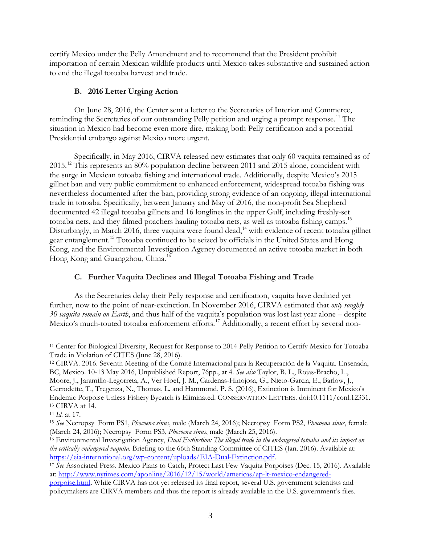certify Mexico under the Pelly Amendment and to recommend that the President prohibit importation of certain Mexican wildlife products until Mexico takes substantive and sustained action to end the illegal totoaba harvest and trade.

## **B. 2016 Letter Urging Action**

On June 28, 2016, the Center sent a letter to the Secretaries of Interior and Commerce, reminding the Secretaries of our outstanding Pelly petition and urging a prompt response.<sup>[11](#page-2-0)</sup> The situation in Mexico had become even more dire, making both Pelly certification and a potential Presidential embargo against Mexico more urgent.

Specifically, in May 2016, CIRVA released new estimates that only 60 vaquita remained as of 2015.<sup>[12](#page-2-1)</sup> This represents an 80% population decline between 2011 and 2015 alone, coincident with the surge in Mexican totoaba fishing and international trade. Additionally, despite Mexico's 2015 gillnet ban and very public commitment to enhanced enforcement, widespread totoaba fishing was nevertheless documented after the ban, providing strong evidence of an ongoing, illegal international trade in totoaba. Specifically, between January and May of 2016, the non-profit Sea Shepherd documented 42 illegal totoaba gillnets and 16 longlines in the upper Gulf, including freshly-set totoaba nets, and they filmed poachers hauling totoaba nets, as well as totoaba fishing camps.<sup>[13](#page-2-2)</sup> Disturbingly, in March 2016, three vaquita were found dead,<sup>14</sup> with evidence of recent totoaba gillnet gear entanglement.[15](#page-2-4) Totoaba continued to be seized by officials in the United States and Hong Kong, and the Environmental Investigation Agency documented an active totoaba market in both Hong Kong and Guangzhou, China.<sup>[16](#page-2-5)</sup>

# **C. Further Vaquita Declines and Illegal Totoaba Fishing and Trade**

As the Secretaries delay their Pelly response and certification, vaquita have declined yet further, now to the point of near-extinction. In November 2016, CIRVA estimated that *only roughly 30 vaquita remain on Earth*, and thus half of the vaquita's population was lost last year alone – despite Mexico's much-touted totoaba enforcement efforts.<sup>[17](#page-2-6)</sup> Additionally, a recent effort by several non-

<span id="page-2-0"></span><sup>11</sup> Center for Biological Diversity, Request for Response to 2014 Pelly Petition to Certify Mexico for Totoaba Trade in Violation of CITES (June 28, 2016).

<span id="page-2-1"></span><sup>12</sup> CIRVA. 2016. Seventh Meeting of the Comité Internacional para la Recuperación de la Vaquita. Ensenada, BC, Mexico. 10-13 May 2016, Unpublished Report, 76pp., at 4. *See also* Taylor, B. L., Rojas-Bracho, L., Moore, J., Jaramillo-Legorreta, A., Ver Hoef, J. M., Cardenas-Hinojosa, G., Nieto-Garcia, E., Barlow, J., Gerrodette, T., Tregenza, N., Thomas, L. and Hammond, P. S. (2016), Extinction is Imminent for Mexico's Endemic Porpoise Unless Fishery Bycatch is Eliminated. CONSERVATION LETTERS. doi:10.1111/conl.12331. <sup>13</sup> CIRVA at 14.

<span id="page-2-3"></span><span id="page-2-2"></span><sup>14</sup> *Id.* at 17.

<span id="page-2-4"></span><sup>15</sup> *See* Necropsy Form PS1, *Phocoena sinus*, male (March 24, 2016); Necropsy Form PS2, *Phocoena sinus*, female (March 24, 2016); Necropsy Form PS3, *Phocoena sinus*, male (March 25, 2016).

<span id="page-2-5"></span><sup>16</sup> Environmental Investigation Agency, *Dual Extinction: The illegal trade in the endangered totoaba and its impact on the critically endangered vaquita*. Briefing to the 66th Standing Committee of CITES (Jan. 2016). Available at: [https://eia-international.org/wp-content/uploads/EIA-Dual-Extinction.pdf.](https://eia-international.org/wp-content/uploads/EIA-Dual-Extinction.pdf)

<span id="page-2-6"></span><sup>17</sup> *See* Associated Press. Mexico Plans to Catch, Protect Last Few Vaquita Porpoises (Dec. 15, 2016). Available at: [http://www.nytimes.com/aponline/2016/12/15/world/americas/ap-lt-mexico-endangered-](http://www.nytimes.com/aponline/2016/12/15/world/americas/ap-lt-mexico-endangered-porpoise.html)

[porpoise.html.](http://www.nytimes.com/aponline/2016/12/15/world/americas/ap-lt-mexico-endangered-porpoise.html) While CIRVA has not yet released its final report, several U.S. government scientists and policymakers are CIRVA members and thus the report is already available in the U.S. government's files.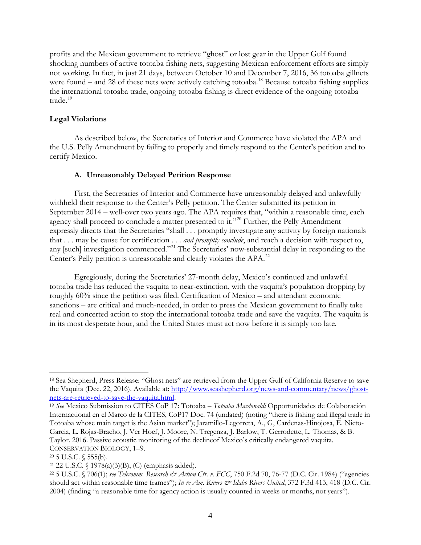profits and the Mexican government to retrieve "ghost" or lost gear in the Upper Gulf found shocking numbers of active totoaba fishing nets, suggesting Mexican enforcement efforts are simply not working. In fact, in just 21 days, between October 10 and December 7, 2016, 36 totoaba gillnets were found – and 28 of these nets were actively catching totoaba.<sup>[18](#page-3-0)</sup> Because totoaba fishing supplies the international totoaba trade, ongoing totoaba fishing is direct evidence of the ongoing totoaba trade.<sup>[19](#page-3-1)</sup>

### **Legal Violations**

As described below, the Secretaries of Interior and Commerce have violated the APA and the U.S. Pelly Amendment by failing to properly and timely respond to the Center's petition and to certify Mexico.

### **A. Unreasonably Delayed Petition Response**

First, the Secretaries of Interior and Commerce have unreasonably delayed and unlawfully withheld their response to the Center's Pelly petition. The Center submitted its petition in September 2014 – well-over two years ago. The APA requires that, "within a reasonable time, each agency shall proceed to conclude a matter presented to it."<sup>[20](#page-3-2)</sup> Further, the Pelly Amendment expressly directs that the Secretaries "shall . . . promptly investigate any activity by foreign nationals that . . . may be cause for certification . . . *and promptly conclude*, and reach a decision with respect to, any [such] investigation commenced."<sup>[21](#page-3-3)</sup> The Secretaries' now-substantial delay in responding to the Center's Pelly petition is unreasonable and clearly violates the APA.<sup>[22](#page-3-4)</sup>

Egregiously, during the Secretaries' 27-month delay, Mexico's continued and unlawful totoaba trade has reduced the vaquita to near-extinction, with the vaquita's population dropping by roughly 60% since the petition was filed. Certification of Mexico – and attendant economic sanctions – are critical and much-needed, in order to press the Mexican government to finally take real and concerted action to stop the international totoaba trade and save the vaquita. The vaquita is in its most desperate hour, and the United States must act now before it is simply too late.

<span id="page-3-0"></span><sup>18</sup> Sea Shepherd, Press Release: "Ghost nets" are retrieved from the Upper Gulf of California Reserve to save the Vaquita (Dec. 22, 2016). Available at: [http://www.seashepherd.org/news-and-commentary/news/ghost](http://www.seashepherd.org/news-and-commentary/news/ghost-nets-are-retrieved-to-save-the-vaquita.html)[nets-are-retrieved-to-save-the-vaquita.html.](http://www.seashepherd.org/news-and-commentary/news/ghost-nets-are-retrieved-to-save-the-vaquita.html) 19 *See* Mexico Submission to CITES CoP 17: Totoaba – *Totoaba Macdonaldi* Opportunidades de Colaboración

<span id="page-3-1"></span>Internactional en el Marco de la CITES, CoP17 Doc. 74 (undated) (noting "there is fishing and illegal trade in Totoaba whose main target is the Asian market"); Jaramillo-Legorreta, A., G, Cardenas-Hinojosa, E. Nieto-Garcia, L. Rojas-Bracho, J. Ver Hoef, J. Moore, N. Tregenza, J. Barlow, T. Gerrodette, L. Thomas, & B. Taylor. 2016. Passive acoustic monitoring of the declineof Mexico's critically endangered vaquita. CONSERVATION BIOLOGY, 1–9.

<span id="page-3-2"></span><sup>20</sup> 5 U.S.C. § 555(b).

<span id="page-3-3"></span><sup>21</sup> 22 U.S.C. § 1978(a)(3)(B), (C) (emphasis added).

<span id="page-3-4"></span><sup>22</sup> 5 U.S.C. § 706(1); *see Telecomm. Research & Action Ctr. v. FCC*, 750 F.2d 70, 76-77 (D.C. Cir. 1984) ("agencies should act within reasonable time frames"); *In re Am. Rivers & Idaho Rivers United*, 372 F.3d 413, 418 (D.C. Cir. 2004) (finding "a reasonable time for agency action is usually counted in weeks or months, not years").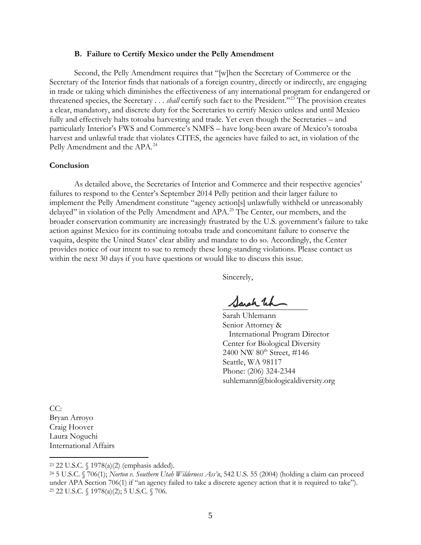#### **B. Failure to Certify Mexico under the Pelly Amendment**

Second, the Pelly Amendment requires that "[w]hen the Secretary of Commerce or the Secretary of the Interior finds that nationals of a foreign country, directly or indirectly, are engaging in trade or taking which diminishes the effectiveness of any international program for endangered or threatened species, the Secretary . . . *shall* certify such fact to the President."[23](#page-4-0) The provision creates a clear, mandatory, and discrete duty for the Secretaries to certify Mexico unless and until Mexico fully and effectively halts totoaba harvesting and trade. Yet even though the Secretaries – and particularly Interior's FWS and Commerce's NMFS – have long-been aware of Mexico's totoaba harvest and unlawful trade that violates CITES, the agencies have failed to act, in violation of the Pelly Amendment and the APA.<sup>[24](#page-4-1)</sup>

#### **Conclusion**

As detailed above, the Secretaries of Interior and Commerce and their respective agencies' failures to respond to the Center's September 2014 Pelly petition and their larger failure to implement the Pelly Amendment constitute "agency action[s] unlawfully withheld or unreasonably delayed" in violation of the Pelly Amendment and APA.<sup>[25](#page-4-2)</sup> The Center, our members, and the broader conservation community are increasingly frustrated by the U.S. government's failure to take action against Mexico for its continuing totoaba trade and concomitant failure to conserve the vaquita, despite the United States' clear ability and mandate to do so. Accordingly, the Center provides notice of our intent to sue to remedy these long-standing violations. Please contact us within the next 30 days if you have questions or would like to discuss this issue.

Sincerely,

Sarah Wh

Sarah Uhlemann Senior Attorney & International Program Director Center for Biological Diversity 2400 NW 80<sup>th</sup> Street, #146 Seattle, WA 98117 Phone: (206) 324-2344 [suhlemann@biologicaldiversity.org](mailto:suhlemann@biologicaldiversity.org) 

CC: Bryan Arroyo Craig Hoover Laura Noguchi International Affairs

 $\overline{a}$ 

<span id="page-4-0"></span><sup>23</sup> 22 U.S.C. § 1978(a)(2) (emphasis added).

<span id="page-4-2"></span><span id="page-4-1"></span><sup>24</sup> 5 U.S.C. § 706(1); *Norton v. Southern Utah Wilderness Ass'n*, 542 U.S. 55 (2004) (holding a claim can proceed under APA Section 706(1) if "an agency failed to take a discrete agency action that it is required to take"). <sup>25</sup> 22 U.S.C. § 1978(a)(2); 5 U.S.C. § 706.